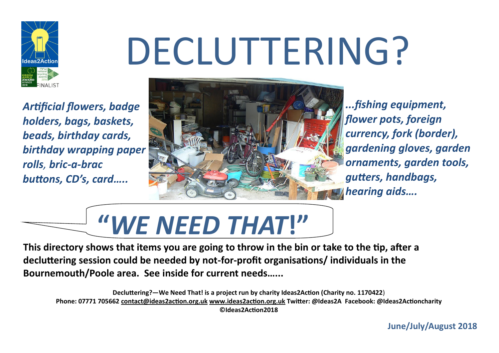

# DECLUTTERING?

*Artificial flowers, badge holders, bags, baskets, beads, birthday cards, birthday wrapping paper rolls, bric-a-brac buttons, CD's, card…..*



*...fishing equipment, flower pots, foreign currency, fork (border), gardening gloves, garden ornaments, garden tools, gutters, handbags, hearing aids….*



**This directory shows that items you are going to throw in the bin or take to the tip, after a decluttering session could be needed by not-for-profit organisations/ individuals in the Bournemouth/Poole area. See inside for current needs…...**

**Decluttering?—We Need That! is a project run by charity Ideas2Action (Charity no. 1170422**) **Phone: 07771 705662 [contact@ideas2action.org.uk](mailto:contact@ideas2action.org.uk) [www.ideas2action.org.uk](http://www.ideas2action.org.uk) Twitter: @Ideas2A Facebook: @Ideas2Actioncharity ©Ideas2Action2018**

**June/July/August 2018**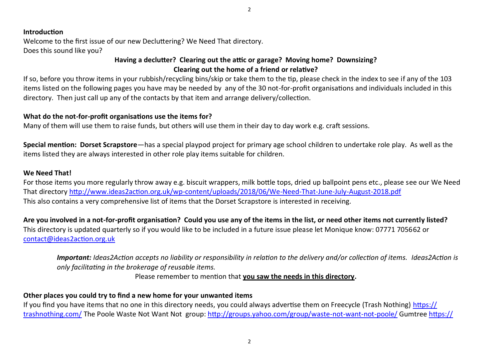Welcome to the first issue of our new Decluttering? We Need That directory. Does this sound like you?

## **Having a declutter? Clearing out the attic or garage? Moving home? Downsizing? Clearing out the home of a friend or relative?**

If so, before you throw items in your rubbish/recycling bins/skip or take them to the tip, please check in the index to see if any of the 103 items listed on the following pages you have may be needed by any of the 30 not-for-profit organisations and individuals included in this directory. Then just call up any of the contacts by that item and arrange delivery/collection.

## **What do the not-for-profit organisations use the items for?**

Many of them will use them to raise funds, but others will use them in their day to day work e.g. craft sessions.

**Special mention: Dorset Scrapstore**—has a special playpod project for primary age school children to undertake role play. As well as the items listed they are always interested in other role play items suitable for children.

## **We Need That!**

For those items you more regularly throw away e.g. biscuit wrappers, milk bottle tops, dried up ballpoint pens etc., please see our We Need That directory [http://www.ideas2action.org.uk/wp](http://www.ideas2action.org.uk/wp-content/uploads/2018/06/We-Need-That-June-July-August-2018.pdf)-content/uploads/2018/06/We-Need-That-June-July-August-2018.pdf This also contains a very comprehensive list of items that the Dorset Scrapstore is interested in receiving.

**Are you involved in a not-for-profit organisation? Could you use any of the items in the list, or need other items not currently listed?** This directory is updated quarterly so if you would like to be included in a future issue please let Monique know: 07771 705662 or [contact@ideas2action.org.uk](mailto:contact@ideas2action.org.uk)

*Important: Ideas2Action accepts no liability or responsibility in relation to the delivery and/or collection of items. Ideas2Action is only facilitating in the brokerage of reusable items.*

Please remember to mention that **you saw the needs in this directory.**

# **Other places you could try to find a new home for your unwanted items**

If you find you have items that no one in this directory needs, you could always advertise them on Freecycle (Trash Nothing) [https://](https://trashnothing.com/) [trashnothing.com/](https://trashnothing.com/) The Poole Waste Not Want Not group: [http://groups.yahoo.com/group/waste](http://groups.yahoo.com/group/waste-not-want-not-poole/)-not-want-not-poole/ Gumtree [https://](https://www.gumtree.com/)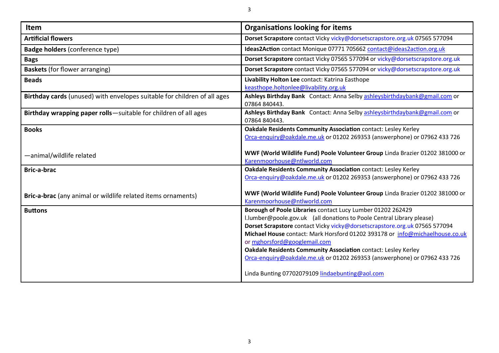| Item                                                                     | <b>Organisations looking for items</b>                                                                                                                                                                                                                                                                                                                                                                                                                                                                                                      |
|--------------------------------------------------------------------------|---------------------------------------------------------------------------------------------------------------------------------------------------------------------------------------------------------------------------------------------------------------------------------------------------------------------------------------------------------------------------------------------------------------------------------------------------------------------------------------------------------------------------------------------|
| <b>Artificial flowers</b>                                                | Dorset Scrapstore contact Vicky vicky@dorsetscrapstore.org.uk 07565 577094                                                                                                                                                                                                                                                                                                                                                                                                                                                                  |
| <b>Badge holders (conference type)</b>                                   | Ideas2Action contact Monique 07771 705662 contact@ideas2action.org.uk                                                                                                                                                                                                                                                                                                                                                                                                                                                                       |
| <b>Bags</b>                                                              | Dorset Scrapstore contact Vicky 07565 577094 or vicky@dorsetscrapstore.org.uk                                                                                                                                                                                                                                                                                                                                                                                                                                                               |
| <b>Baskets</b> (for flower arranging)                                    | Dorset Scrapstore contact Vicky 07565 577094 or vicky@dorsetscrapstore.org.uk                                                                                                                                                                                                                                                                                                                                                                                                                                                               |
| <b>Beads</b>                                                             | Livability Holton Lee contact: Katrina Easthope<br>keasthope.holtonlee@livability.org.uk                                                                                                                                                                                                                                                                                                                                                                                                                                                    |
| Birthday cards (unused) with envelopes suitable for children of all ages | Ashleys Birthday Bank Contact: Anna Selby ashleysbirthdaybank@gmail.com or<br>07864 840443.                                                                                                                                                                                                                                                                                                                                                                                                                                                 |
| Birthday wrapping paper rolls-suitable for children of all ages          | Ashleys Birthday Bank Contact: Anna Selby ashleysbirthdaybank@gmail.com or<br>07864 840443.                                                                                                                                                                                                                                                                                                                                                                                                                                                 |
| <b>Books</b>                                                             | <b>Oakdale Residents Community Association contact: Lesley Kerley</b><br>Orca-enquiry@oakdale.me.uk or 01202 269353 (answerphone) or 07962 433 726                                                                                                                                                                                                                                                                                                                                                                                          |
| -animal/wildlife related                                                 | WWF (World Wildlife Fund) Poole Volunteer Group Linda Brazier 01202 381000 or<br>Karenmoorhouse@ntlworld.com                                                                                                                                                                                                                                                                                                                                                                                                                                |
| <b>Bric-a-brac</b>                                                       | <b>Oakdale Residents Community Association contact: Lesley Kerley</b><br>Orca-enquiry@oakdale.me.uk or 01202 269353 (answerphone) or 07962 433 726                                                                                                                                                                                                                                                                                                                                                                                          |
| Bric-a-brac (any animal or wildlife related items ornaments)             | WWF (World Wildlife Fund) Poole Volunteer Group Linda Brazier 01202 381000 or<br>Karenmoorhouse@ntlworld.com                                                                                                                                                                                                                                                                                                                                                                                                                                |
| <b>Buttons</b>                                                           | Borough of Poole Libraries contact Lucy Lumber 01202 262429<br>I.lumber@poole.gov.uk (all donations to Poole Central Library please)<br>Dorset Scrapstore contact Vicky vicky@dorsetscrapstore.org.uk 07565 577094<br>Michael House contact: Mark Horsford 01202 393178 or info@michaelhouse.co.uk<br>or mghorsford@googlemail.com<br><b>Oakdale Residents Community Association contact: Lesley Kerley</b><br>Orca-enquiry@oakdale.me.uk or 01202 269353 (answerphone) or 07962 433 726<br>Linda Bunting 07702079109 lindaebunting@aol.com |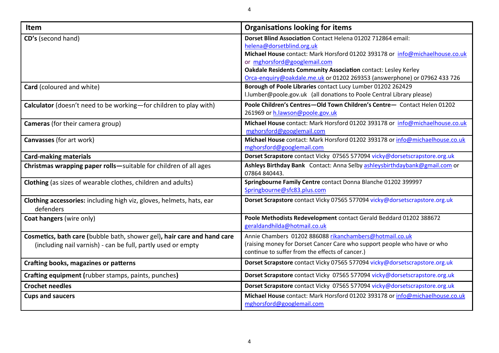| Item                                                                                                                                    | <b>Organisations looking for items</b>                                                                                                                                                                                                                                                                                                                  |
|-----------------------------------------------------------------------------------------------------------------------------------------|---------------------------------------------------------------------------------------------------------------------------------------------------------------------------------------------------------------------------------------------------------------------------------------------------------------------------------------------------------|
| CD's (second hand)                                                                                                                      | Dorset Blind Association Contact Helena 01202 712864 email:<br>helena@dorsetblind.org.uk<br>Michael House contact: Mark Horsford 01202 393178 or info@michaelhouse.co.uk<br>or mghorsford@googlemail.com<br>Oakdale Residents Community Association contact: Lesley Kerley<br>Orca-enquiry@oakdale.me.uk or 01202 269353 (answerphone) or 07962 433 726 |
| Card (coloured and white)                                                                                                               | Borough of Poole Libraries contact Lucy Lumber 01202 262429<br>I.lumber@poole.gov.uk (all donations to Poole Central Library please)                                                                                                                                                                                                                    |
| Calculator (doesn't need to be working-for children to play with)                                                                       | Poole Children's Centres-Old Town Children's Centre- Contact Helen 01202<br>261969 or h.lawson@poole.gov.uk                                                                                                                                                                                                                                             |
| <b>Cameras</b> (for their camera group)                                                                                                 | Michael House contact: Mark Horsford 01202 393178 or info@michaelhouse.co.uk<br>mghorsford@googlemail.com                                                                                                                                                                                                                                               |
| <b>Canvasses (for art work)</b>                                                                                                         | Michael House contact: Mark Horsford 01202 393178 or info@michaelhouse.co.uk<br>mghorsford@googlemail.com                                                                                                                                                                                                                                               |
| <b>Card-making materials</b>                                                                                                            | Dorset Scrapstore contact Vicky 07565 577094 vicky@dorsetscrapstore.org.uk                                                                                                                                                                                                                                                                              |
| Christmas wrapping paper rolls-suitable for children of all ages                                                                        | Ashleys Birthday Bank Contact: Anna Selby ashleysbirthdaybank@gmail.com or<br>07864 840443.                                                                                                                                                                                                                                                             |
| Clothing (as sizes of wearable clothes, children and adults)                                                                            | Springbourne Family Centre contact Donna Blanche 01202 399997<br>Springbourne@sfc83.plus.com                                                                                                                                                                                                                                                            |
| Clothing accessories: including high viz, gloves, helmets, hats, ear<br>defenders                                                       | Dorset Scrapstore contact Vicky 07565 577094 vicky@dorsetscrapstore.org.uk                                                                                                                                                                                                                                                                              |
| Coat hangers (wire only)                                                                                                                | Poole Methodists Redevelopment contact Gerald Beddard 01202 388672<br>geraldandhilda@hotmail.co.uk                                                                                                                                                                                                                                                      |
| Cosmetics, bath care (bubble bath, shower gel), hair care and hand care<br>(including nail varnish) - can be full, partly used or empty | Annie Chambers 01202 886088 rikanchambers@hotmail.co.uk<br>(raising money for Dorset Cancer Care who support people who have or who<br>continue to suffer from the effects of cancer.)                                                                                                                                                                  |
| <b>Crafting books, magazines or patterns</b>                                                                                            | Dorset Scrapstore contact Vicky 07565 577094 vicky@dorsetscrapstore.org.uk                                                                                                                                                                                                                                                                              |
| Crafting equipment (rubber stamps, paints, punches)                                                                                     | Dorset Scrapstore contact Vicky 07565 577094 vicky@dorsetscrapstore.org.uk                                                                                                                                                                                                                                                                              |
| <b>Crochet needles</b>                                                                                                                  | Dorset Scrapstore contact Vicky 07565 577094 vicky@dorsetscrapstore.org.uk                                                                                                                                                                                                                                                                              |
| <b>Cups and saucers</b>                                                                                                                 | Michael House contact: Mark Horsford 01202 393178 or info@michaelhouse.co.uk<br>mghorsford@googlemail.com                                                                                                                                                                                                                                               |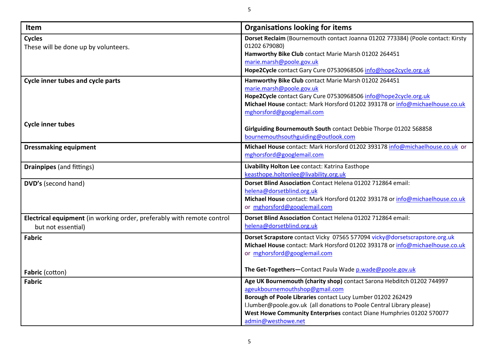| <b>Item</b>                                                                                  | <b>Organisations looking for items</b>                                                                                                                                                                                                                                                                                                         |
|----------------------------------------------------------------------------------------------|------------------------------------------------------------------------------------------------------------------------------------------------------------------------------------------------------------------------------------------------------------------------------------------------------------------------------------------------|
| <b>Cycles</b><br>These will be done up by volunteers.                                        | Dorset Reclaim (Bournemouth contact Joanna 01202 773384) (Poole contact: Kirsty<br>01202 679080)<br>Hamworthy Bike Club contact Marie Marsh 01202 264451<br>marie.marsh@poole.gov.uk<br>Hope2Cycle contact Gary Cure 07530968506 info@hope2cycle.org.uk                                                                                        |
| <b>Cycle inner tubes and cycle parts</b>                                                     | Hamworthy Bike Club contact Marie Marsh 01202 264451<br>marie.marsh@poole.gov.uk<br>Hope2Cycle contact Gary Cure 07530968506 info@hope2cycle.org.uk<br>Michael House contact: Mark Horsford 01202 393178 or info@michaelhouse.co.uk<br>mghorsford@googlemail.com                                                                               |
| <b>Cycle inner tubes</b>                                                                     | Girlguiding Bournemouth South contact Debbie Thorpe 01202 568858<br>bournemouthsouthguiding@outlook.com                                                                                                                                                                                                                                        |
| <b>Dressmaking equipment</b>                                                                 | Michael House contact: Mark Horsford 01202 393178 info@michaelhouse.co.uk or<br>mghorsford@googlemail.com                                                                                                                                                                                                                                      |
| <b>Drainpipes</b> (and fittings)                                                             | Livability Holton Lee contact: Katrina Easthope<br>keasthope.holtonlee@livability.org.uk                                                                                                                                                                                                                                                       |
| DVD's (second hand)                                                                          | Dorset Blind Association Contact Helena 01202 712864 email:<br>helena@dorsetblind.org.uk<br>Michael House contact: Mark Horsford 01202 393178 or info@michaelhouse.co.uk<br>or mghorsford@googlemail.com                                                                                                                                       |
| Electrical equipment (in working order, preferably with remote control<br>but not essential) | Dorset Blind Association Contact Helena 01202 712864 email:<br>helena@dorsetblind.org.uk                                                                                                                                                                                                                                                       |
| <b>Fabric</b>                                                                                | Dorset Scrapstore contact Vicky 07565 577094 vicky@dorsetscrapstore.org.uk<br>Michael House contact: Mark Horsford 01202 393178 or info@michaelhouse.co.uk<br>or mghorsford@googlemail.com                                                                                                                                                     |
| Fabric (cotton)                                                                              | The Get-Togethers-Contact Paula Wade p.wade@poole.gov.uk                                                                                                                                                                                                                                                                                       |
| <b>Fabric</b>                                                                                | Age UK Bournemouth (charity shop) contact Sarona Hebditch 01202 744997<br>ageukbournemouthshop@gmail.com<br>Borough of Poole Libraries contact Lucy Lumber 01202 262429<br>I.lumber@poole.gov.uk (all donations to Poole Central Library please)<br>West Howe Community Enterprises contact Diane Humphries 01202 570077<br>admin@westhowe.net |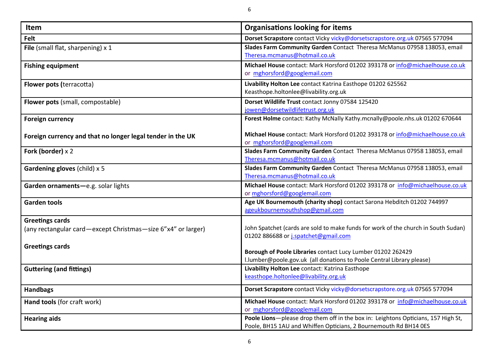| Item                                                                                   | <b>Organisations looking for items</b>                                                                                                                |
|----------------------------------------------------------------------------------------|-------------------------------------------------------------------------------------------------------------------------------------------------------|
| Felt                                                                                   | Dorset Scrapstore contact Vicky vicky@dorsetscrapstore.org.uk 07565 577094                                                                            |
| File (small flat, sharpening) x 1                                                      | Slades Farm Community Garden Contact Theresa McManus 07958 138053, email<br>Theresa.mcmanus@hotmail.co.uk                                             |
| <b>Fishing equipment</b>                                                               | Michael House contact: Mark Horsford 01202 393178 or info@michaelhouse.co.uk<br>or mghorsford@googlemail.com                                          |
| <b>Flower pots (terracotta)</b>                                                        | Livability Holton Lee contact Katrina Easthope 01202 625562<br>Keasthope.holtonlee@livability.org.uk                                                  |
| Flower pots (small, compostable)                                                       | Dorset Wildlife Trust contact Jonny 07584 125420<br>jowen@dorsetwildlifetrust.org.uk                                                                  |
| <b>Foreign currency</b>                                                                | Forest Holme contact: Kathy McNally Kathy.mcnally@poole.nhs.uk 01202 670644                                                                           |
| Foreign currency and that no longer legal tender in the UK                             | Michael House contact: Mark Horsford 01202 393178 or info@michaelhouse.co.uk<br>or mghorsford@googlemail.com                                          |
| Fork (border) $\times$ 2                                                               | Slades Farm Community Garden Contact Theresa McManus 07958 138053, email<br>Theresa.mcmanus@hotmail.co.uk                                             |
| Gardening gloves (child) x 5                                                           | Slades Farm Community Garden Contact Theresa McManus 07958 138053, email<br>Theresa.mcmanus@hotmail.co.uk                                             |
| Garden ornaments-e.g. solar lights                                                     | Michael House contact: Mark Horsford 01202 393178 or info@michaelhouse.co.uk<br>or mghorsford@googlemail.com                                          |
| <b>Garden tools</b>                                                                    | Age UK Bournemouth (charity shop) contact Sarona Hebditch 01202 744997<br>ageukbournemouthshop@gmail.com                                              |
| <b>Greetings cards</b><br>(any rectangular card-except Christmas-size 6"x4" or larger) | John Spatchet (cards are sold to make funds for work of the church in South Sudan)<br>01202 886688 or j.spatchet@gmail.com                            |
| <b>Greetings cards</b>                                                                 | Borough of Poole Libraries contact Lucy Lumber 01202 262429<br>I.lumber@poole.gov.uk (all donations to Poole Central Library please)                  |
| <b>Guttering (and fittings)</b>                                                        | Livability Holton Lee contact: Katrina Easthope<br>keasthope.holtonlee@livability.org.uk                                                              |
| <b>Handbags</b>                                                                        | Dorset Scrapstore contact Vicky vicky@dorsetscrapstore.org.uk 07565 577094                                                                            |
| Hand tools (for craft work)                                                            | Michael House contact: Mark Horsford 01202 393178 or info@michaelhouse.co.uk<br>or mghorsford@googlemail.com                                          |
| <b>Hearing aids</b>                                                                    | Poole Lions-please drop them off in the box in: Leightons Opticians, 157 High St,<br>Poole, BH15 1AU and Whiffen Opticians, 2 Bournemouth Rd BH14 OES |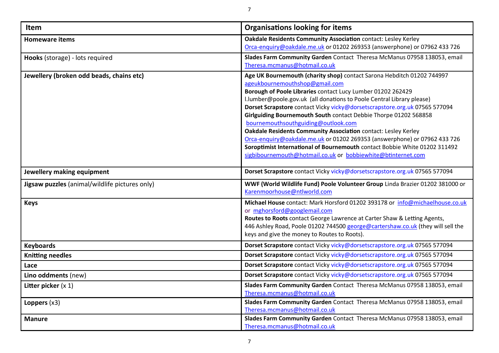| <b>Item</b>                                    | <b>Organisations looking for items</b>                                                                                                                                                                                                                                                                                                                                                                                                                                                                                                                                                                                                                                                                                                 |
|------------------------------------------------|----------------------------------------------------------------------------------------------------------------------------------------------------------------------------------------------------------------------------------------------------------------------------------------------------------------------------------------------------------------------------------------------------------------------------------------------------------------------------------------------------------------------------------------------------------------------------------------------------------------------------------------------------------------------------------------------------------------------------------------|
| <b>Homeware items</b>                          | <b>Oakdale Residents Community Association contact: Lesley Kerley</b><br>Orca-enquiry@oakdale.me.uk or 01202 269353 (answerphone) or 07962 433 726                                                                                                                                                                                                                                                                                                                                                                                                                                                                                                                                                                                     |
| Hooks (storage) - lots required                | Slades Farm Community Garden Contact Theresa McManus 07958 138053, email<br>Theresa.mcmanus@hotmail.co.uk                                                                                                                                                                                                                                                                                                                                                                                                                                                                                                                                                                                                                              |
| Jewellery (broken odd beads, chains etc)       | Age UK Bournemouth (charity shop) contact Sarona Hebditch 01202 744997<br>ageukbournemouthshop@gmail.com<br>Borough of Poole Libraries contact Lucy Lumber 01202 262429<br>I.lumber@poole.gov.uk (all donations to Poole Central Library please)<br>Dorset Scrapstore contact Vicky vicky@dorsetscrapstore.org.uk 07565 577094<br>Girlguiding Bournemouth South contact Debbie Thorpe 01202 568858<br>bournemouthsouthguiding@outlook.com<br>Oakdale Residents Community Association contact: Lesley Kerley<br>Orca-enquiry@oakdale.me.uk or 01202 269353 (answerphone) or 07962 433 726<br>Soroptimist International of Bournemouth contact Bobbie White 01202 311492<br>sigbibournemouth@hotmail.co.uk or bobbiewhite@btinternet.com |
| Jewellery making equipment                     | Dorset Scrapstore contact Vicky vicky@dorsetscrapstore.org.uk 07565 577094                                                                                                                                                                                                                                                                                                                                                                                                                                                                                                                                                                                                                                                             |
| Jigsaw puzzles (animal/wildlife pictures only) | WWF (World Wildlife Fund) Poole Volunteer Group Linda Brazier 01202 381000 or<br>Karenmoorhouse@ntlworld.com                                                                                                                                                                                                                                                                                                                                                                                                                                                                                                                                                                                                                           |
| <b>Keys</b>                                    | Michael House contact: Mark Horsford 01202 393178 or info@michaelhouse.co.uk<br>or mghorsford@googlemail.com<br>Routes to Roots contact George Lawrence at Carter Shaw & Letting Agents,<br>446 Ashley Road, Poole 01202 744500 george@cartershaw.co.uk (they will sell the<br>keys and give the money to Routes to Roots).                                                                                                                                                                                                                                                                                                                                                                                                            |
| <b>Keyboards</b>                               | Dorset Scrapstore contact Vicky vicky@dorsetscrapstore.org.uk 07565 577094                                                                                                                                                                                                                                                                                                                                                                                                                                                                                                                                                                                                                                                             |
| <b>Knitting needles</b>                        | Dorset Scrapstore contact Vicky vicky@dorsetscrapstore.org.uk 07565 577094                                                                                                                                                                                                                                                                                                                                                                                                                                                                                                                                                                                                                                                             |
| Lace                                           | Dorset Scrapstore contact Vicky vicky@dorsetscrapstore.org.uk 07565 577094                                                                                                                                                                                                                                                                                                                                                                                                                                                                                                                                                                                                                                                             |
| Lino oddments (new)                            | Dorset Scrapstore contact Vicky vicky@dorsetscrapstore.org.uk 07565 577094                                                                                                                                                                                                                                                                                                                                                                                                                                                                                                                                                                                                                                                             |
| Litter picker $(x 1)$                          | Slades Farm Community Garden Contact Theresa McManus 07958 138053, email<br>Theresa.mcmanus@hotmail.co.uk                                                                                                                                                                                                                                                                                                                                                                                                                                                                                                                                                                                                                              |
| Loppers $(x3)$                                 | Slades Farm Community Garden Contact Theresa McManus 07958 138053, email<br>Theresa.mcmanus@hotmail.co.uk                                                                                                                                                                                                                                                                                                                                                                                                                                                                                                                                                                                                                              |
| <b>Manure</b>                                  | Slades Farm Community Garden Contact Theresa McManus 07958 138053, email<br>Theresa.mcmanus@hotmail.co.uk                                                                                                                                                                                                                                                                                                                                                                                                                                                                                                                                                                                                                              |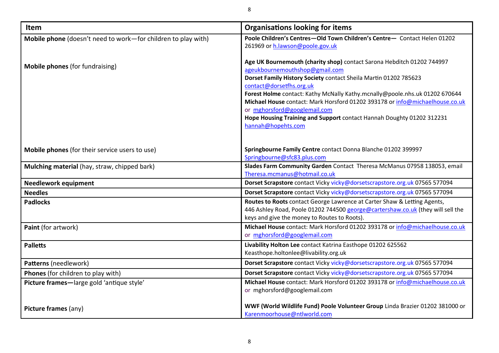| <b>Item</b>                                                   | <b>Organisations looking for items</b>                                                                                                                                                                                                                                                                                                                                                                                                                                                                 |
|---------------------------------------------------------------|--------------------------------------------------------------------------------------------------------------------------------------------------------------------------------------------------------------------------------------------------------------------------------------------------------------------------------------------------------------------------------------------------------------------------------------------------------------------------------------------------------|
| Mobile phone (doesn't need to work-for children to play with) | Poole Children's Centres-Old Town Children's Centre- Contact Helen 01202<br>261969 or h.lawson@poole.gov.uk                                                                                                                                                                                                                                                                                                                                                                                            |
| <b>Mobile phones (for fundraising)</b>                        | Age UK Bournemouth (charity shop) contact Sarona Hebditch 01202 744997<br>ageukbournemouthshop@gmail.com<br>Dorset Family History Society contact Sheila Martin 01202 785623<br>contact@dorsetfhs.org.uk<br>Forest Holme contact: Kathy McNally Kathy.mcnally@poole.nhs.uk 01202 670644<br>Michael House contact: Mark Horsford 01202 393178 or info@michaelhouse.co.uk<br>or mghorsford@googlemail.com<br>Hope Housing Training and Support contact Hannah Doughty 01202 312231<br>hannah@hopehts.com |
| Mobile phones (for their service users to use)                | Springbourne Family Centre contact Donna Blanche 01202 399997<br>Springbourne@sfc83.plus.com                                                                                                                                                                                                                                                                                                                                                                                                           |
| Mulching material (hay, straw, chipped bark)                  | Slades Farm Community Garden Contact Theresa McManus 07958 138053, email<br>Theresa.mcmanus@hotmail.co.uk                                                                                                                                                                                                                                                                                                                                                                                              |
| Needlework equipment                                          | Dorset Scrapstore contact Vicky vicky@dorsetscrapstore.org.uk 07565 577094                                                                                                                                                                                                                                                                                                                                                                                                                             |
| <b>Needles</b>                                                | Dorset Scrapstore contact Vicky vicky@dorsetscrapstore.org.uk 07565 577094                                                                                                                                                                                                                                                                                                                                                                                                                             |
| <b>Padlocks</b>                                               | Routes to Roots contact George Lawrence at Carter Shaw & Letting Agents,<br>446 Ashley Road, Poole 01202 744500 george@cartershaw.co.uk (they will sell the<br>keys and give the money to Routes to Roots).                                                                                                                                                                                                                                                                                            |
| Paint (for artwork)                                           | Michael House contact: Mark Horsford 01202 393178 or info@michaelhouse.co.uk<br>or mghorsford@googlemail.com                                                                                                                                                                                                                                                                                                                                                                                           |
| <b>Palletts</b>                                               | Livability Holton Lee contact Katrina Easthope 01202 625562<br>Keasthope.holtonlee@livability.org.uk                                                                                                                                                                                                                                                                                                                                                                                                   |
| Patterns (needlework)                                         | Dorset Scrapstore contact Vicky vicky@dorsetscrapstore.org.uk 07565 577094                                                                                                                                                                                                                                                                                                                                                                                                                             |
| Phones (for children to play with)                            | Dorset Scrapstore contact Vicky vicky@dorsetscrapstore.org.uk 07565 577094                                                                                                                                                                                                                                                                                                                                                                                                                             |
| Picture frames-large gold 'antique style'                     | Michael House contact: Mark Horsford 01202 393178 or info@michaelhouse.co.uk<br>or mghorsford@googlemail.com                                                                                                                                                                                                                                                                                                                                                                                           |
| Picture frames (any)                                          | WWF (World Wildlife Fund) Poole Volunteer Group Linda Brazier 01202 381000 or<br>Karenmoorhouse@ntlworld.com                                                                                                                                                                                                                                                                                                                                                                                           |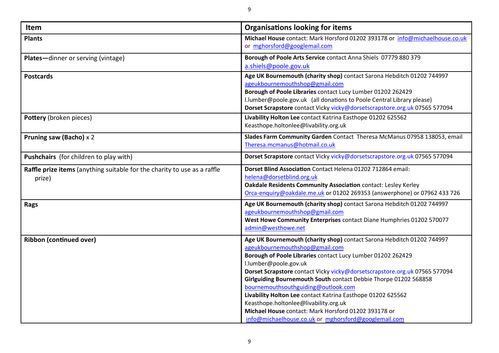| <b>Item</b>                                                                        | <b>Organisations looking for items</b>                                                                                                                                                                                                                                                                                                                                                                                                                                                                                                                                                                            |
|------------------------------------------------------------------------------------|-------------------------------------------------------------------------------------------------------------------------------------------------------------------------------------------------------------------------------------------------------------------------------------------------------------------------------------------------------------------------------------------------------------------------------------------------------------------------------------------------------------------------------------------------------------------------------------------------------------------|
| <b>Plants</b>                                                                      | Michael House contact: Mark Horsford 01202 393178 or info@michaelhouse.co.uk<br>or mghorsford@googlemail.com                                                                                                                                                                                                                                                                                                                                                                                                                                                                                                      |
| Plates-dinner or serving (vintage)                                                 | Borough of Poole Arts Service contact Anna Shiels 07779 880 379<br>a.shiels@poole.gov.uk                                                                                                                                                                                                                                                                                                                                                                                                                                                                                                                          |
| <b>Postcards</b>                                                                   | Age UK Bournemouth (charity shop) contact Sarona Hebditch 01202 744997<br>ageukbournemouthshop@gmail.com<br>Borough of Poole Libraries contact Lucy Lumber 01202 262429<br>I.lumber@poole.gov.uk (all donations to Poole Central Library please)<br>Dorset Scrapstore contact Vicky vicky@dorsetscrapstore.org.uk 07565 577094                                                                                                                                                                                                                                                                                    |
| Pottery (broken pieces)                                                            | Livability Holton Lee contact Katrina Easthope 01202 625562<br>Keasthope.holtonlee@livability.org.uk                                                                                                                                                                                                                                                                                                                                                                                                                                                                                                              |
| Pruning saw (Bacho) $\times$ 2                                                     | Slades Farm Community Garden Contact Theresa McManus 07958 138053, email<br>Theresa.mcmanus@hotmail.co.uk                                                                                                                                                                                                                                                                                                                                                                                                                                                                                                         |
| Pushchairs (for children to play with)                                             | Dorset Scrapstore contact Vicky vicky@dorsetscrapstore.org.uk 07565 577094                                                                                                                                                                                                                                                                                                                                                                                                                                                                                                                                        |
| Raffle prize items (anything suitable for the charity to use as a raffle<br>prize) | Dorset Blind Association Contact Helena 01202 712864 email:<br>helena@dorsetblind.org.uk<br><b>Oakdale Residents Community Association contact: Lesley Kerley</b><br>Orca-enquiry@oakdale.me.uk or 01202 269353 (answerphone) or 07962 433 726                                                                                                                                                                                                                                                                                                                                                                    |
| <b>Rags</b>                                                                        | Age UK Bournemouth (charity shop) contact Sarona Hebditch 01202 744997<br>ageukbournemouthshop@gmail.com<br>West Howe Community Enterprises contact Diane Humphries 01202 570077<br>admin@westhowe.net                                                                                                                                                                                                                                                                                                                                                                                                            |
| <b>Ribbon (continued over)</b>                                                     | Age UK Bournemouth (charity shop) contact Sarona Hebditch 01202 744997<br>ageukbournemouthshop@gmail.com<br>Borough of Poole Libraries contact Lucy Lumber 01202 262429<br>l.lumber@poole.gov.uk<br>Dorset Scrapstore contact Vicky vicky@dorsetscrapstore.org.uk 07565 577094<br>Girlguiding Bournemouth South contact Debbie Thorpe 01202 568858<br>bournemouthsouthguiding@outlook.com<br>Livability Holton Lee contact Katrina Easthope 01202 625562<br>Keasthope.holtonlee@livability.org.uk<br>Michael House contact: Mark Horsford 01202 393178 or<br>info@michaelhouse.co.uk or mghorsford@googlemail.com |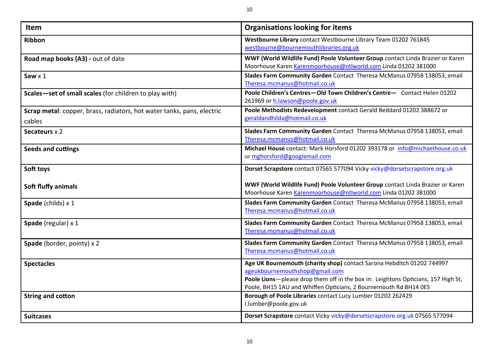| Item                                                                             | <b>Organisations looking for items</b>                                                                                                                                                                                                                            |
|----------------------------------------------------------------------------------|-------------------------------------------------------------------------------------------------------------------------------------------------------------------------------------------------------------------------------------------------------------------|
| Ribbon                                                                           | Westbourne Library contact Westbourne Library Team 01202 761845<br>westbourne@bournemouthlibraries.org.uk                                                                                                                                                         |
| Road map books (A3) - out of date                                                | WWF (World Wildlife Fund) Poole Volunteer Group contact Linda Brazier or Karen<br>Moorhouse Karen Karenmoorhouse@ntlworld.com Linda 01202 381000                                                                                                                  |
| Saw $\times$ 1                                                                   | Slades Farm Community Garden Contact Theresa McManus 07958 138053, email<br>Theresa.mcmanus@hotmail.co.uk                                                                                                                                                         |
| Scales-set of small scales (for children to play with)                           | Poole Children's Centres-Old Town Children's Centre- Contact Helen 01202<br>261969 or h.lawson@poole.gov.uk                                                                                                                                                       |
| Scrap metal: copper, brass, radiators, hot water tanks, pans, electric<br>cables | Poole Methodists Redevelopment contact Gerald Beddard 01202 388672 or<br>geraldandhilda@hotmail.co.uk                                                                                                                                                             |
| Secateurs x 2                                                                    | Slades Farm Community Garden Contact Theresa McManus 07958 138053, email<br>Theresa.mcmanus@hotmail.co.uk                                                                                                                                                         |
| <b>Seeds and cuttings</b>                                                        | Michael House contact: Mark Horsford 01202 393178 or info@michaelhouse.co.uk<br>or mghorsford@googlemail.com                                                                                                                                                      |
| Soft toys                                                                        | Dorset Scrapstore contact 07565 577094 Vicky vicky@dorsetscrapstore.org.uk                                                                                                                                                                                        |
| Soft fluffy animals                                                              | WWF (World Wildlife Fund) Poole Volunteer Group contact Linda Brazier or Karen<br>Moorhouse Karen Karenmoorhouse@ntlworld.com Linda 01202 381000                                                                                                                  |
| Spade (childs) x 1                                                               | Slades Farm Community Garden Contact Theresa McManus 07958 138053, email<br>Theresa.mcmanus@hotmail.co.uk                                                                                                                                                         |
| Spade (regular) x 1                                                              | Slades Farm Community Garden Contact Theresa McManus 07958 138053, email<br>Theresa.mcmanus@hotmail.co.uk                                                                                                                                                         |
| Spade (border, pointy) x 2                                                       | Slades Farm Community Garden Contact Theresa McManus 07958 138053, email<br>Theresa.mcmanus@hotmail.co.uk                                                                                                                                                         |
| <b>Spectacles</b>                                                                | Age UK Bournemouth (charity shop) contact Sarona Hebditch 01202 744997<br>ageukbournemouthshop@gmail.com<br>Poole Lions-please drop them off in the box in: Leightons Opticians, 157 High St,<br>Poole, BH15 1AU and Whiffen Opticians, 2 Bournemouth Rd BH14 0ES |
| <b>String and cotton</b>                                                         | Borough of Poole Libraries contact Lucy Lumber 01202 262429<br>l.lumber@poole.gov.uk                                                                                                                                                                              |
| <b>Suitcases</b>                                                                 | Dorset Scrapstore contact Vicky vicky@dorsetscrapstore.org.uk 07565 577094                                                                                                                                                                                        |